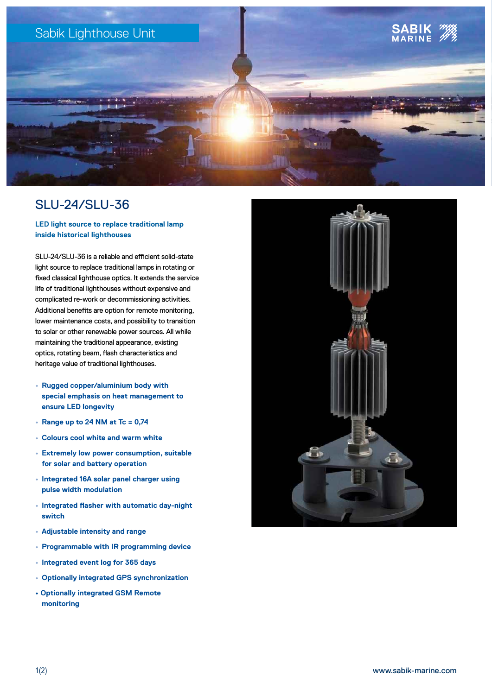

# SLU-24/SLU-36

# **LED light source to replace traditional lamp inside historical lighthouses**

SLU-24/SLU-36 is a reliable and efficient solid-state light source to replace traditional lamps in rotating or fixed classical lighthouse optics. It extends the service life of traditional lighthouses without expensive and complicated re-work or decommissioning activities. Additional benefits are option for remote monitoring, lower maintenance costs, and possibility to transition to solar or other renewable power sources. All while maintaining the traditional appearance, existing optics, rotating beam, flash characteristics and heritage value of traditional lighthouses.

- **• Rugged copper/aluminium body with special emphasis on heat management to ensure LED longevity**
- **Range up to 24 NM at Tc = 0,74**
- **Colours cool white and warm white**
- **Extremely low power consumption, suitable for solar and battery operation**
- **Integrated 16A solar panel charger using pulse width modulation**
- **Integrated flasher with automatic day-night switch**
- **Adjustable intensity and range**
- **Programmable with IR programming device**
- **Integrated event log for 365 days**
- **Optionally integrated GPS synchronization**
- **Optionally integrated GSM Remote monitoring**